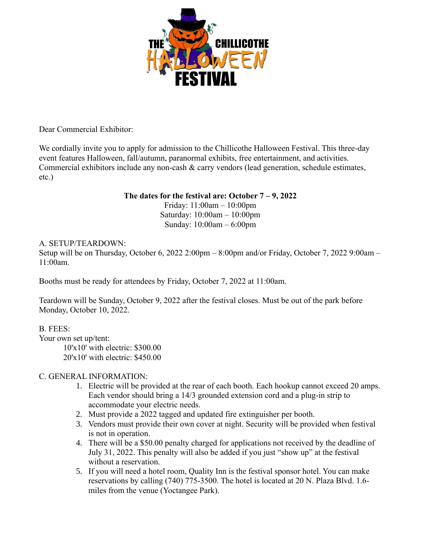

Dear Commercial Exhibitor:

We cordially invite you to apply for admission to the Chillicothe Halloween Festival. This three-day event features Halloween, fall/autumn, paranormal exhibits, free entertainment, and activities. Commercial exhibitors include any non-cash & carry vendors (lead generation, schedule estimates, etc.)

### **The dates for the festival are: October 7 – 9, 2022**

Friday: 11:00am – 10:00pm Saturday: 10:00am – 10:00pm Sunday: 10:00am – 6:00pm

### A. SETUP/TEARDOWN:

Setup will be on Thursday, October 6, 2022 2:00pm – 8:00pm and/or Friday, October 7, 2022 9:00am – 11:00am.

Booths must be ready for attendees by Friday, October 7, 2022 at 11:00am.

Teardown will be Sunday, October 9, 2022 after the festival closes. Must be out of the park before Monday, October 10, 2022.

B. FEES:

Your own set up/tent: 10'x10' with electric: \$300.00 20'x10' with electric: \$450.00

# C. GENERAL INFORMATION:

- 1. Electric will be provided at the rear of each booth. Each hookup cannot exceed 20 amps. Each vendor should bring a 14/3 grounded extension cord and a plug-in strip to accommodate your electric needs.
- 2. Must provide a 2022 tagged and updated fire extinguisher per booth.
- 3. Vendors must provide their own cover at night. Security will be provided when festival is not in operation.
- 4. There will be a \$50.00 penalty charged for applications not received by the deadline of July 31, 2022. This penalty will also be added if you just "show up" at the festival without a reservation.
- 5. If you will need a hotel room, Quality Inn is the festival sponsor hotel. You can make reservations by calling (740) 775-3500. The hotel is located at 20 N. Plaza Blvd. 1.6 miles from the venue (Yoctangee Park).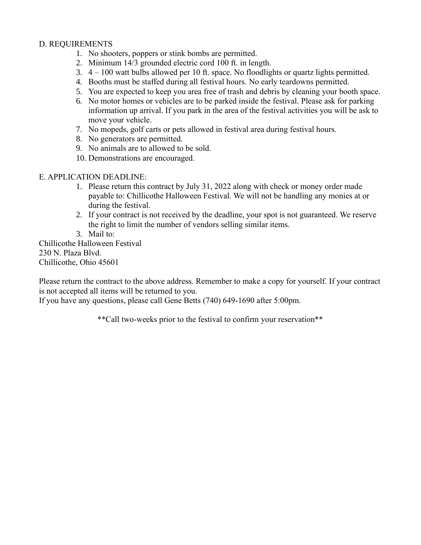# D. REQUIREMENTS

- 1. No shooters, poppers or stink bombs are permitted.
- 2. Minimum 14/3 grounded electric cord 100 ft. in length.
- 3. 4 100 watt bulbs allowed per 10 ft. space. No floodlights or quartz lights permitted.
- 4. Booths must be staffed during all festival hours. No early teardowns permitted.
- 5. You are expected to keep you area free of trash and debris by cleaning your booth space.
- 6. No motor homes or vehicles are to be parked inside the festival. Please ask for parking information up arrival. If you park in the area of the festival activities you will be ask to move your vehicle.
- 7. No mopeds, golf carts or pets allowed in festival area during festival hours.
- 8. No generators are permitted.
- 9. No animals are to allowed to be sold.
- 10. Demonstrations are encouraged.

#### E. APPLICATION DEADLINE:

- 1. Please return this contract by July 31, 2022 along with check or money order made payable to: Chillicothe Halloween Festival. We will not be handling any monies at or during the festival.
- 2. If your contract is not received by the deadline, your spot is not guaranteed. We reserve the right to limit the number of vendors selling similar items.
- 3. Mail to:

Chillicothe Halloween Festival 230 N. Plaza Blvd. Chillicothe, Ohio 45601

Please return the contract to the above address. Remember to make a copy for yourself. If your contract is not accepted all items will be returned to you.

If you have any questions, please call Gene Betts (740) 649-1690 after 5:00pm.

\*\*Call two-weeks prior to the festival to confirm your reservation\*\*